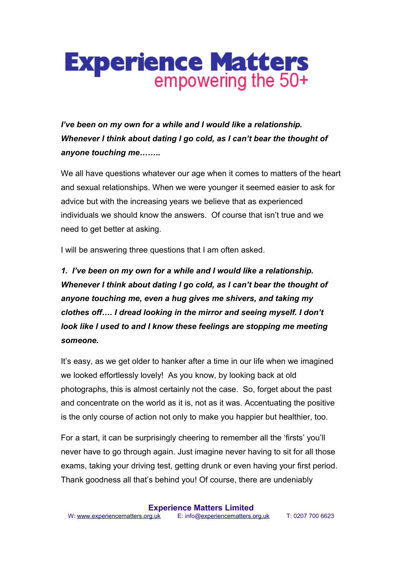*I've been on my own for a while and I would like a relationship. Whenever I think about dating I go cold, as I can't bear the thought of anyone touching me……..*

We all have questions whatever our age when it comes to matters of the heart and sexual relationships. When we were younger it seemed easier to ask for advice but with the increasing years we believe that as experienced individuals we should know the answers. Of course that isn't true and we need to get better at asking.

I will be answering three questions that I am often asked.

*1. I've been on my own for a while and I would like a relationship. Whenever I think about dating I go cold, as I can't bear the thought of anyone touching me, even a hug gives me shivers, and taking my clothes off…. I dread looking in the mirror and seeing myself. I don't look like I used to and I know these feelings are stopping me meeting someone.*

It's easy, as we get older to hanker after a time in our life when we imagined we looked effortlessly lovely! As you know, by looking back at old photographs, this is almost certainly not the case. So, forget about the past and concentrate on the world as it is, not as it was. Accentuating the positive is the only course of action not only to make you happier but healthier, too.

For a start, it can be surprisingly cheering to remember all the 'firsts' you'll never have to go through again. Just imagine never having to sit for all those exams, taking your driving test, getting drunk or even having your first period. Thank goodness all that's behind you! Of course, there are undeniably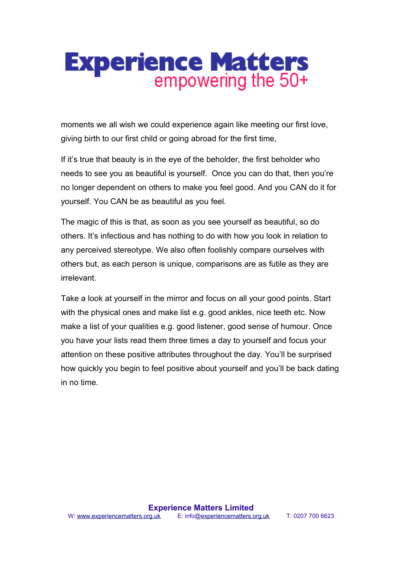moments we all wish we could experience again like meeting our first love, giving birth to our first child or going abroad for the first time,

If it's true that beauty is in the eye of the beholder, the first beholder who needs to see you as beautiful is yourself. Once you can do that, then you're no longer dependent on others to make you feel good. And you CAN do it for yourself. You CAN be as beautiful as you feel.

The magic of this is that, as soon as you see yourself as beautiful, so do others. It's infectious and has nothing to do with how you look in relation to any perceived stereotype. We also often foolishly compare ourselves with others but, as each person is unique, comparisons are as futile as they are irrelevant.

Take a look at yourself in the mirror and focus on all your good points. Start with the physical ones and make list e.g. good ankles, nice teeth etc. Now make a list of your qualities e.g. good listener, good sense of humour. Once you have your lists read them three times a day to yourself and focus your attention on these positive attributes throughout the day. You'll be surprised how quickly you begin to feel positive about yourself and you'll be back dating in no time.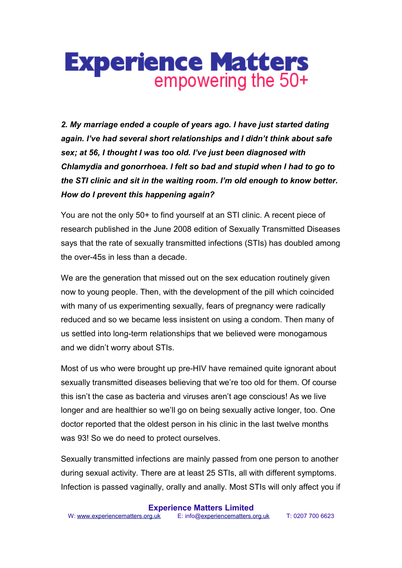*2. My marriage ended a couple of years ago. I have just started dating again. I've had several short relationships and I didn't think about safe sex; at 56, I thought I was too old. I've just been diagnosed with Chlamydia and gonorrhoea. I felt so bad and stupid when I had to go to the STI clinic and sit in the waiting room. I'm old enough to know better. How do I prevent this happening again?*

You are not the only 50+ to find yourself at an STI clinic. A recent piece of research published in the June 2008 edition of Sexually Transmitted Diseases says that the rate of sexually transmitted infections (STIs) has doubled among the over-45s in less than a decade.

We are the generation that missed out on the sex education routinely given now to young people. Then, with the development of the pill which coincided with many of us experimenting sexually, fears of pregnancy were radically reduced and so we became less insistent on using a condom. Then many of us settled into long-term relationships that we believed were monogamous and we didn't worry about STIs.

Most of us who were brought up pre-HIV have remained quite ignorant about sexually transmitted diseases believing that we're too old for them. Of course this isn't the case as bacteria and viruses aren't age conscious! As we live longer and are healthier so we'll go on being sexually active longer, too. One doctor reported that the oldest person in his clinic in the last twelve months was 93! So we do need to protect ourselves.

Sexually transmitted infections are mainly passed from one person to another during sexual activity. There are at least 25 STIs, all with different symptoms. Infection is passed vaginally, orally and anally. Most STIs will only affect you if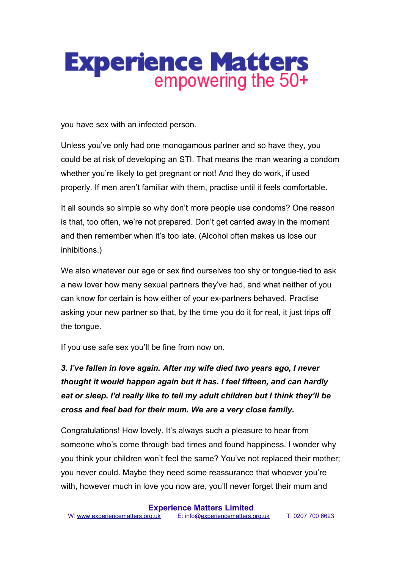

you have sex with an infected person.

Unless you've only had one monogamous partner and so have they, you could be at risk of developing an STI. That means the man wearing a condom whether you're likely to get pregnant or not! And they do work, if used properly. If men aren't familiar with them, practise until it feels comfortable.

It all sounds so simple so why don't more people use condoms? One reason is that, too often, we're not prepared. Don't get carried away in the moment and then remember when it's too late. (Alcohol often makes us lose our inhibitions.)

We also whatever our age or sex find ourselves too shy or tongue-tied to ask a new lover how many sexual partners they've had, and what neither of you can know for certain is how either of your ex-partners behaved. Practise asking your new partner so that, by the time you do it for real, it just trips off the tongue.

If you use safe sex you'll be fine from now on.

*3. I've fallen in love again. After my wife died two years ago, I never thought it would happen again but it has. I feel fifteen, and can hardly eat or sleep. I'd really like to tell my adult children but I think they'll be cross and feel bad for their mum. We are a very close family.* 

Congratulations! How lovely. It's always such a pleasure to hear from someone who's come through bad times and found happiness. I wonder why you think your children won't feel the same? You've not replaced their mother; you never could. Maybe they need some reassurance that whoever you're with, however much in love you now are, you'll never forget their mum and